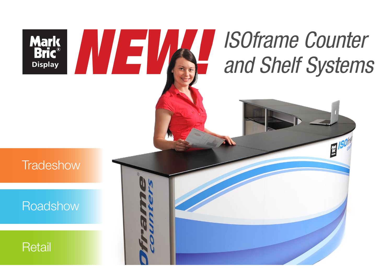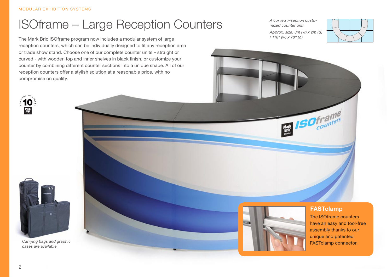## ISOframe – Large Reception Counters

The Mark Bric ISOframe program now includes a modular system of large reception counters, which can be individually designed to fit any reception area or trade show stand. Choose one of our complete counter units – straight or curved - with wooden top and inner shelves in black finish, or customize your counter by combining different counter sections into a unique shape. All of our reception counters offer a stylish solution at a reasonable price, with no compromise on quality.

*A curved 7-section customized counter unit.* 

*/ 118" (w) x 78" (d)*

*Approx. size: 3m (w) x 2m (d)* 





*Carrying bags and graphic cases are available.*

2



#### **FASTclamp**

**ISOframe** 

The ISOframe counters have an easy and tool-free assembly thanks to our unique and patented FASTclamp connector.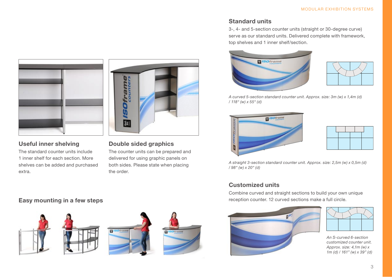

#### **Useful inner shelving**

The standard counter units include 1 inner shelf for each section. More shelves can be added and purchased extra.

### **Easy mounting in a few steps**







the order.

軰

**Double sided graphics** The counter units can be prepared and delivered for using graphic panels on both sides. Please state when placing



### **Standard units**

3-, 4- and 5-section counter units (straight or 30-degree curve) serve as our standard units. Delivered complete with framework, top shelves and 1 inner shelf/section.





*A curved 5-section standard counter unit. Approx. size: 3m (w) x 1,4m (d) / 118" (w) x 55" (d)*





*A straight 3-section standard counter unit. Approx. size: 2,5m (w) x 0,5m (d) / 98" (w) x 20" (d)*

#### **Customized units**

Combine curved and straight sections to build your own unique reception counter. 12 curved sections make a full circle.





*An S-curved 6-section customized counter unit. Approx. size: 4,1m (w) x 1m (d) / 161" (w) x 39" (d)*